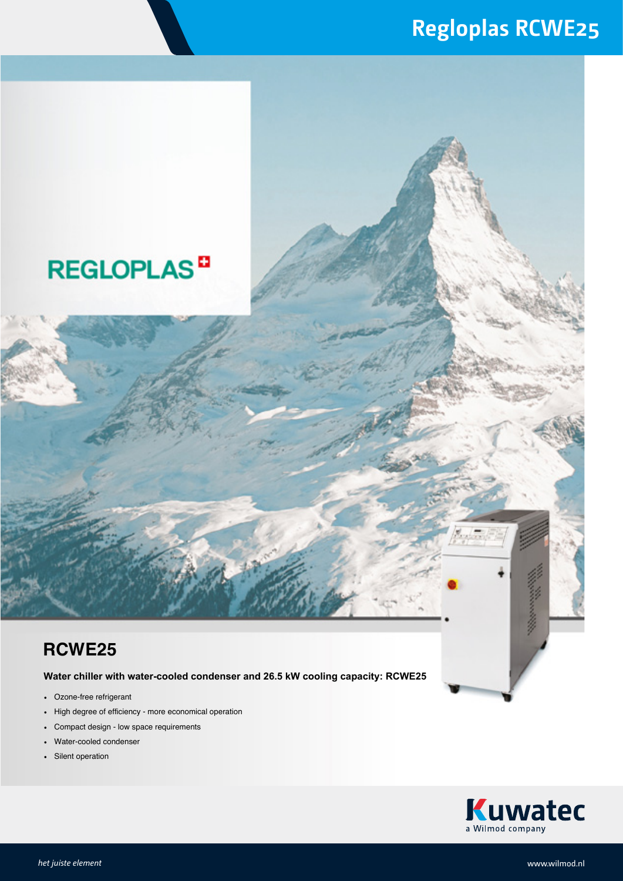### **Regloplas RCWE25**

## **REGLOPLAS<sup>D</sup>**

#### **RCWE25**

**Water chiller with water-cooled condenser and 26.5 kW cooling capacity: RCWE25**

- Ozone-free refrigerant
- High degree of efficiency more economical operation
- Compact design low space requirements
- Water-cooled condenser
- Silent operation